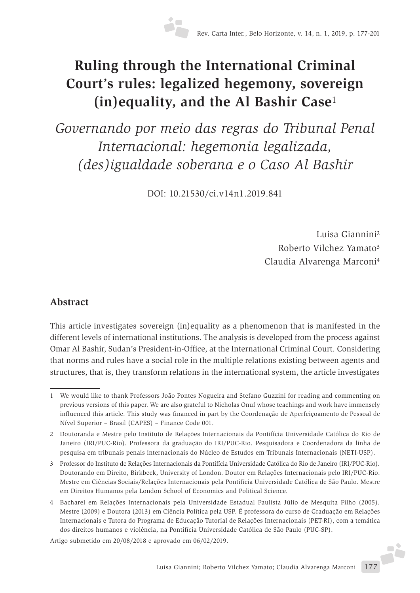# **Ruling through the International Criminal Court's rules: legalized hegemony, sovereign (in)equality, and the Al Bashir Case**<sup>1</sup>

*Governando por meio das regras do Tribunal Penal Internacional: hegemonia legalizada, (des)igualdade soberana e o Caso Al Bashir*

DOI: 10.21530/ci.v14n1.2019.841

Luisa Giannini2 Roberto Vilchez Yamato3 Claudia Alvarenga Marconi4

### **Abstract**

This article investigates sovereign (in)equality as a phenomenon that is manifested in the different levels of international institutions. The analysis is developed from the process against Omar Al Bashir, Sudan's President-in-Office, at the International Criminal Court. Considering that norms and rules have a social role in the multiple relations existing between agents and structures, that is, they transform relations in the international system, the article investigates

Artigo submetido em 20/08/2018 e aprovado em 06/02/2019.

<sup>1</sup> We would like to thank Professors João Pontes Nogueira and Stefano Guzzini for reading and commenting on previous versions of this paper. We are also grateful to Nicholas Onuf whose teachings and work have immensely influenced this article. This study was financed in part by the Coordenação de Aperfeiçoamento de Pessoal de Nível Superior – Brasil (CAPES) – Finance Code 001.

<sup>2</sup> Doutoranda e Mestre pelo Instituto de Relações Internacionais da Pontifícia Universidade Católica do Rio de Janeiro (IRI/PUC-Rio). Professora da graduação do IRI/PUC-Rio. Pesquisadora e Coordenadora da linha de pesquisa em tribunais penais internacionais do Núcleo de Estudos em Tribunais Internacionais (NETI-USP).

<sup>3</sup> Professor do Instituto de Relações Internacionais da Pontifícia Universidade Católica do Rio de Janeiro (IRI/PUC-Rio). Doutorando em Direito, Birkbeck, University of London. Doutor em Relações Internacionais pelo IRI/PUC-Rio. Mestre em Ciências Sociais/Relações Internacionais pela Pontifícia Universidade Católica de São Paulo. Mestre em Direitos Humanos pela London School of Economics and Political Science.

<sup>4</sup> Bacharel em Relações Internacionais pela Universidade Estadual Paulista Júlio de Mesquita Filho (2005). Mestre (2009) e Doutora (2013) em Ciência Política pela USP. É professora do curso de Graduação em Relações Internacionais e Tutora do Programa de Educação Tutorial de Relações Internacionais (PET-RI), com a temática dos direitos humanos e violência, na Pontifícia Universidade Católica de São Paulo (PUC-SP).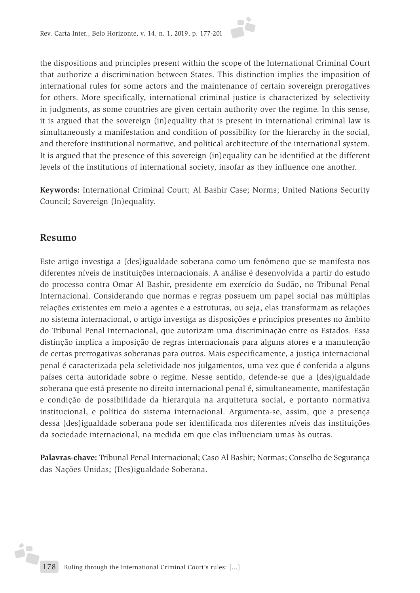the dispositions and principles present within the scope of the International Criminal Court that authorize a discrimination between States. This distinction implies the imposition of international rules for some actors and the maintenance of certain sovereign prerogatives for others. More specifically, international criminal justice is characterized by selectivity in judgments, as some countries are given certain authority over the regime. In this sense, it is argued that the sovereign (in)equality that is present in international criminal law is simultaneously a manifestation and condition of possibility for the hierarchy in the social, and therefore institutional normative, and political architecture of the international system. It is argued that the presence of this sovereign (in)equality can be identified at the different levels of the institutions of international society, insofar as they influence one another.

**Keywords:** International Criminal Court; Al Bashir Case; Norms; United Nations Security Council; Sovereign (In)equality.

#### **Resumo**

Este artigo investiga a (des)igualdade soberana como um fenômeno que se manifesta nos diferentes níveis de instituições internacionais. A análise é desenvolvida a partir do estudo do processo contra Omar Al Bashir, presidente em exercício do Sudão, no Tribunal Penal Internacional. Considerando que normas e regras possuem um papel social nas múltiplas relações existentes em meio a agentes e a estruturas, ou seja, elas transformam as relações no sistema internacional, o artigo investiga as disposições e princípios presentes no âmbito do Tribunal Penal Internacional, que autorizam uma discriminação entre os Estados. Essa distinção implica a imposição de regras internacionais para alguns atores e a manutenção de certas prerrogativas soberanas para outros. Mais especificamente, a justiça internacional penal é caracterizada pela seletividade nos julgamentos, uma vez que é conferida a alguns países certa autoridade sobre o regime. Nesse sentido, defende-se que a (des)igualdade soberana que está presente no direito internacional penal é, simultaneamente, manifestação e condição de possibilidade da hierarquia na arquitetura social, e portanto normativa institucional, e política do sistema internacional. Argumenta-se, assim, que a presença dessa (des)igualdade soberana pode ser identificada nos diferentes níveis das instituições da sociedade internacional, na medida em que elas influenciam umas às outras.

**Palavras-chave:** Tribunal Penal Internacional; Caso Al Bashir; Normas; Conselho de Segurança das Nações Unidas; (Des)igualdade Soberana.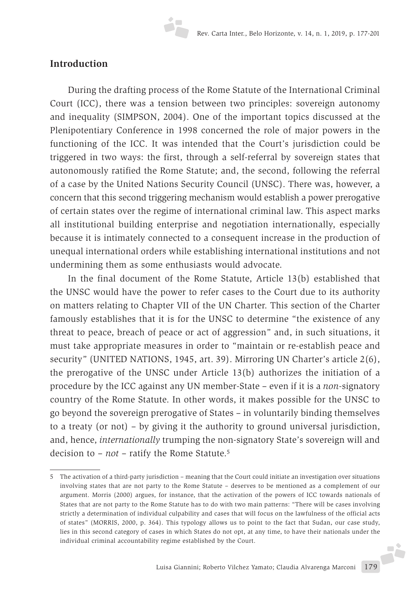#### **Introduction**

During the drafting process of the Rome Statute of the International Criminal Court (ICC), there was a tension between two principles: sovereign autonomy and inequality (SIMPSON, 2004). One of the important topics discussed at the Plenipotentiary Conference in 1998 concerned the role of major powers in the functioning of the ICC. It was intended that the Court's jurisdiction could be triggered in two ways: the first, through a self-referral by sovereign states that autonomously ratified the Rome Statute; and, the second, following the referral of a case by the United Nations Security Council (UNSC). There was, however, a concern that this second triggering mechanism would establish a power prerogative of certain states over the regime of international criminal law. This aspect marks all institutional building enterprise and negotiation internationally, especially because it is intimately connected to a consequent increase in the production of unequal international orders while establishing international institutions and not undermining them as some enthusiasts would advocate.

In the final document of the Rome Statute, Article 13(b) established that the UNSC would have the power to refer cases to the Court due to its authority on matters relating to Chapter VII of the UN Charter. This section of the Charter famously establishes that it is for the UNSC to determine "the existence of any threat to peace, breach of peace or act of aggression" and, in such situations, it must take appropriate measures in order to "maintain or re-establish peace and security" (UNITED NATIONS, 1945, art. 39). Mirroring UN Charter's article 2(6), the prerogative of the UNSC under Article 13(b) authorizes the initiation of a procedure by the ICC against any UN member-State – even if it is a *non*-signatory country of the Rome Statute. In other words, it makes possible for the UNSC to go beyond the sovereign prerogative of States – in voluntarily binding themselves to a treaty (or not) – by giving it the authority to ground universal jurisdiction, and, hence, *internationally* trumping the non-signatory State's sovereign will and decision to – *not* – ratify the Rome Statute.5

<sup>5</sup> The activation of a third-party jurisdiction – meaning that the Court could initiate an investigation over situations involving states that are not party to the Rome Statute – deserves to be mentioned as a complement of our argument. Morris (2000) argues, for instance, that the activation of the powers of ICC towards nationals of States that are not party to the Rome Statute has to do with two main patterns: "There will be cases involving strictly a determination of individual culpability and cases that will focus on the lawfulness of the official acts of states" (MORRIS, 2000, p. 364). This typology allows us to point to the fact that Sudan, our case study, lies in this second category of cases in which States do not opt, at any time, to have their nationals under the individual criminal accountability regime established by the Court.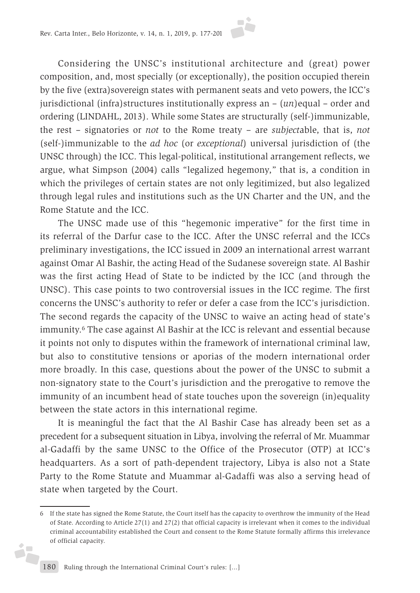Considering the UNSC's institutional architecture and (great) power composition, and, most specially (or exceptionally), the position occupied therein by the five (extra)sovereign states with permanent seats and veto powers, the ICC's jurisdictional (infra)structures institutionally express an – (*un*)equal – order and ordering (LINDAHL, 2013). While some States are structurally (self-)immunizable, the rest – signatories or *not* to the Rome treaty – are *subject*able, that is, *not* (self-)immunizable to the *ad hoc* (or *exceptional*) universal jurisdiction of (the UNSC through) the ICC. This legal-political, institutional arrangement reflects, we argue, what Simpson (2004) calls "legalized hegemony," that is, a condition in which the privileges of certain states are not only legitimized, but also legalized through legal rules and institutions such as the UN Charter and the UN, and the Rome Statute and the ICC.

The UNSC made use of this "hegemonic imperative" for the first time in its referral of the Darfur case to the ICC. After the UNSC referral and the ICCs preliminary investigations, the ICC issued in 2009 an international arrest warrant against Omar Al Bashir, the acting Head of the Sudanese sovereign state. Al Bashir was the first acting Head of State to be indicted by the ICC (and through the UNSC). This case points to two controversial issues in the ICC regime. The first concerns the UNSC's authority to refer or defer a case from the ICC's jurisdiction. The second regards the capacity of the UNSC to waive an acting head of state's immunity.6 The case against Al Bashir at the ICC is relevant and essential because it points not only to disputes within the framework of international criminal law, but also to constitutive tensions or aporias of the modern international order more broadly. In this case, questions about the power of the UNSC to submit a non-signatory state to the Court's jurisdiction and the prerogative to remove the immunity of an incumbent head of state touches upon the sovereign (in)equality between the state actors in this international regime.

It is meaningful the fact that the Al Bashir Case has already been set as a precedent for a subsequent situation in Libya, involving the referral of Mr. Muammar al-Gadaffi by the same UNSC to the Office of the Prosecutor (OTP) at ICC's headquarters. As a sort of path-dependent trajectory, Libya is also not a State Party to the Rome Statute and Muammar al-Gadaffi was also a serving head of state when targeted by the Court.

d.

<sup>6</sup> If the state has signed the Rome Statute, the Court itself has the capacity to overthrow the immunity of the Head of State. According to Article 27(1) and 27(2) that official capacity is irrelevant when it comes to the individual criminal accountability established the Court and consent to the Rome Statute formally affirms this irrelevance of official capacity.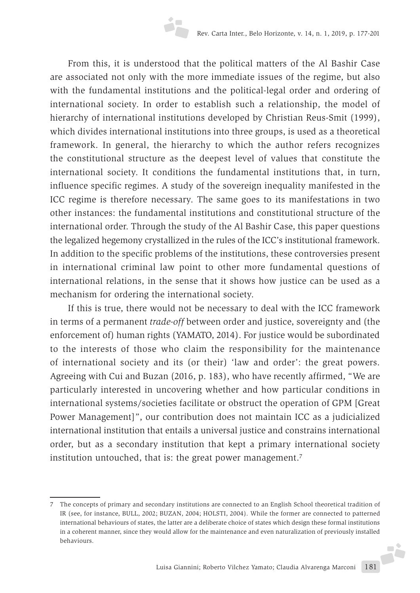From this, it is understood that the political matters of the Al Bashir Case are associated not only with the more immediate issues of the regime, but also with the fundamental institutions and the political-legal order and ordering of international society. In order to establish such a relationship, the model of hierarchy of international institutions developed by Christian Reus-Smit (1999), which divides international institutions into three groups, is used as a theoretical framework. In general, the hierarchy to which the author refers recognizes the constitutional structure as the deepest level of values that constitute the international society. It conditions the fundamental institutions that, in turn, influence specific regimes. A study of the sovereign inequality manifested in the ICC regime is therefore necessary. The same goes to its manifestations in two other instances: the fundamental institutions and constitutional structure of the international order. Through the study of the Al Bashir Case, this paper questions the legalized hegemony crystallized in the rules of the ICC's institutional framework. In addition to the specific problems of the institutions, these controversies present in international criminal law point to other more fundamental questions of international relations, in the sense that it shows how justice can be used as a mechanism for ordering the international society.

If this is true, there would not be necessary to deal with the ICC framework in terms of a permanent *trade-off* between order and justice, sovereignty and (the enforcement of) human rights (YAMATO, 2014). For justice would be subordinated to the interests of those who claim the responsibility for the maintenance of international society and its (or their) 'law and order': the great powers. Agreeing with Cui and Buzan (2016, p. 183), who have recently affirmed, "We are particularly interested in uncovering whether and how particular conditions in international systems/societies facilitate or obstruct the operation of GPM [Great Power Management]", our contribution does not maintain ICC as a judicialized international institution that entails a universal justice and constrains international order, but as a secondary institution that kept a primary international society institution untouched, that is: the great power management.<sup>7</sup>

Luisa Giannini; Roberto Vilchez Yamato; Claudia Alvarenga Marconi 181 7 The concepts of primary and secondary institutions are connected to an English School theoretical tradition of IR (see, for instance, BULL, 2002; BUZAN, 2004; HOLSTI, 2004). While the former are connected to patterned international behaviours of states, the latter are a deliberate choice of states which design these formal institutions in a coherent manner, since they would allow for the maintenance and even naturalization of previously installed behaviours.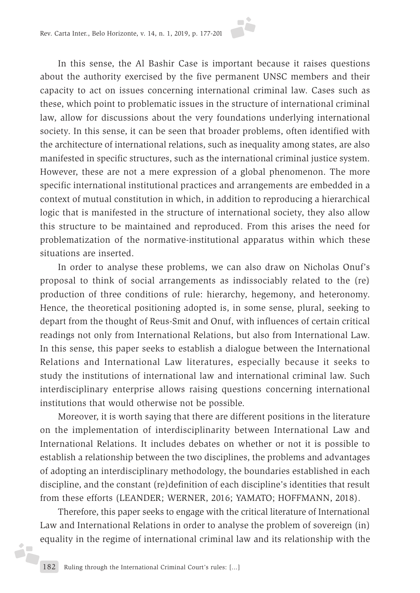In this sense, the Al Bashir Case is important because it raises questions about the authority exercised by the five permanent UNSC members and their capacity to act on issues concerning international criminal law. Cases such as these, which point to problematic issues in the structure of international criminal law, allow for discussions about the very foundations underlying international society. In this sense, it can be seen that broader problems, often identified with the architecture of international relations, such as inequality among states, are also manifested in specific structures, such as the international criminal justice system. However, these are not a mere expression of a global phenomenon. The more specific international institutional practices and arrangements are embedded in a context of mutual constitution in which, in addition to reproducing a hierarchical logic that is manifested in the structure of international society, they also allow this structure to be maintained and reproduced. From this arises the need for problematization of the normative-institutional apparatus within which these situations are inserted.

In order to analyse these problems, we can also draw on Nicholas Onuf's proposal to think of social arrangements as indissociably related to the (re) production of three conditions of rule: hierarchy, hegemony, and heteronomy. Hence, the theoretical positioning adopted is, in some sense, plural, seeking to depart from the thought of Reus-Smit and Onuf, with influences of certain critical readings not only from International Relations, but also from International Law. In this sense, this paper seeks to establish a dialogue between the International Relations and International Law literatures, especially because it seeks to study the institutions of international law and international criminal law. Such interdisciplinary enterprise allows raising questions concerning international institutions that would otherwise not be possible.

Moreover, it is worth saying that there are different positions in the literature on the implementation of interdisciplinarity between International Law and International Relations. It includes debates on whether or not it is possible to establish a relationship between the two disciplines, the problems and advantages of adopting an interdisciplinary methodology, the boundaries established in each discipline, and the constant (re)definition of each discipline's identities that result from these efforts (LEANDER; WERNER, 2016; YAMATO; HOFFMANN, 2018).

Therefore, this paper seeks to engage with the critical literature of International Law and International Relations in order to analyse the problem of sovereign (in) equality in the regime of international criminal law and its relationship with the

d.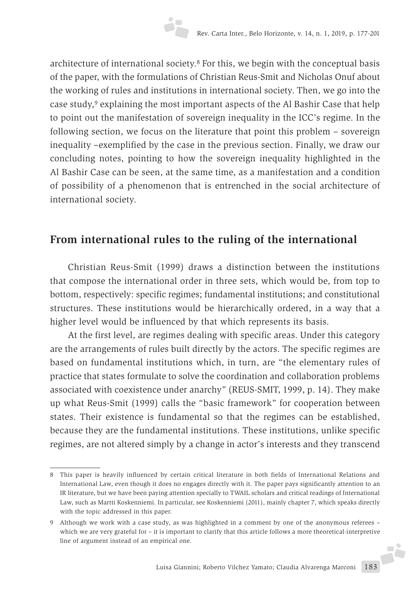architecture of international society.8 For this, we begin with the conceptual basis of the paper, with the formulations of Christian Reus-Smit and Nicholas Onuf about the working of rules and institutions in international society. Then, we go into the case study,9 explaining the most important aspects of the Al Bashir Case that help to point out the manifestation of sovereign inequality in the ICC's regime. In the following section, we focus on the literature that point this problem – sovereign inequality –exemplified by the case in the previous section. Finally, we draw our concluding notes, pointing to how the sovereign inequality highlighted in the Al Bashir Case can be seen, at the same time, as a manifestation and a condition of possibility of a phenomenon that is entrenched in the social architecture of international society.

## **From international rules to the ruling of the international**

Christian Reus-Smit (1999) draws a distinction between the institutions that compose the international order in three sets, which would be, from top to bottom, respectively: specific regimes; fundamental institutions; and constitutional structures. These institutions would be hierarchically ordered, in a way that a higher level would be influenced by that which represents its basis.

At the first level, are regimes dealing with specific areas. Under this category are the arrangements of rules built directly by the actors. The specific regimes are based on fundamental institutions which, in turn, are "the elementary rules of practice that states formulate to solve the coordination and collaboration problems associated with coexistence under anarchy" (REUS-SMIT, 1999, p. 14). They make up what Reus-Smit (1999) calls the "basic framework" for cooperation between states. Their existence is fundamental so that the regimes can be established, because they are the fundamental institutions. These institutions, unlike specific regimes, are not altered simply by a change in actor's interests and they transcend

<sup>8</sup> This paper is heavily influenced by certain critical literature in both fields of International Relations and International Law, even though it does no engages directly with it. The paper pays significantly attention to an IR literature, but we have been paying attention specially to TWAIL scholars and critical readings of International Law, such as Martti Koskenniemi. In particular, see Koskenniemi (2011), mainly chapter 7, which speaks directly with the topic addressed in this paper.

<sup>9</sup> Although we work with a case study, as was highlighted in a comment by one of the anonymous referees – which we are very grateful for – it is important to clarify that this article follows a more theoretical-interpretive line of argument instead of an empirical one.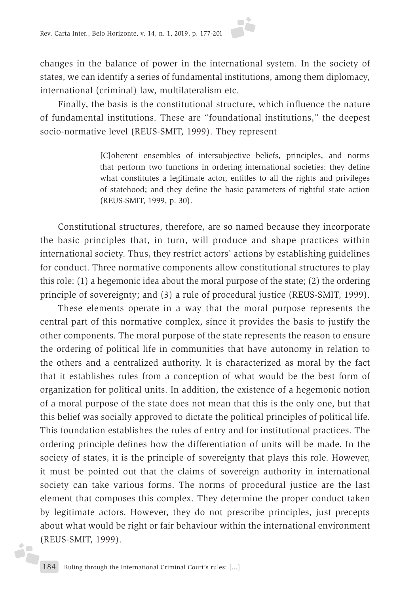changes in the balance of power in the international system. In the society of states, we can identify a series of fundamental institutions, among them diplomacy, international (criminal) law, multilateralism etc.

Finally, the basis is the constitutional structure, which influence the nature of fundamental institutions. These are "foundational institutions," the deepest socio-normative level (REUS-SMIT, 1999). They represent

> [C]oherent ensembles of intersubjective beliefs, principles, and norms that perform two functions in ordering international societies: they define what constitutes a legitimate actor, entitles to all the rights and privileges of statehood; and they define the basic parameters of rightful state action (REUS-SMIT, 1999, p. 30).

Constitutional structures, therefore, are so named because they incorporate the basic principles that, in turn, will produce and shape practices within international society. Thus, they restrict actors' actions by establishing guidelines for conduct. Three normative components allow constitutional structures to play this role: (1) a hegemonic idea about the moral purpose of the state; (2) the ordering principle of sovereignty; and (3) a rule of procedural justice (REUS-SMIT, 1999).

These elements operate in a way that the moral purpose represents the central part of this normative complex, since it provides the basis to justify the other components. The moral purpose of the state represents the reason to ensure the ordering of political life in communities that have autonomy in relation to the others and a centralized authority. It is characterized as moral by the fact that it establishes rules from a conception of what would be the best form of organization for political units. In addition, the existence of a hegemonic notion of a moral purpose of the state does not mean that this is the only one, but that this belief was socially approved to dictate the political principles of political life. This foundation establishes the rules of entry and for institutional practices. The ordering principle defines how the differentiation of units will be made. In the society of states, it is the principle of sovereignty that plays this role. However, it must be pointed out that the claims of sovereign authority in international society can take various forms. The norms of procedural justice are the last element that composes this complex. They determine the proper conduct taken by legitimate actors. However, they do not prescribe principles, just precepts about what would be right or fair behaviour within the international environment (REUS-SMIT, 1999).

i7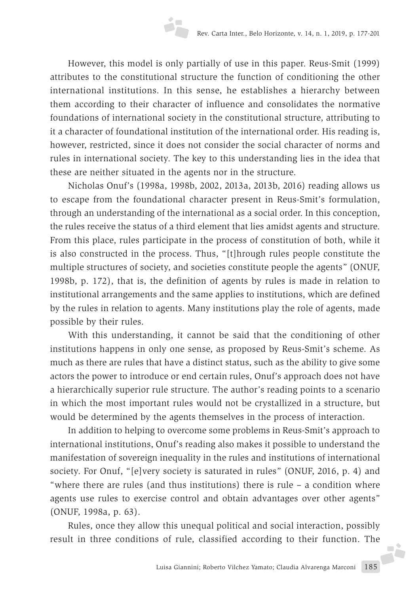However, this model is only partially of use in this paper. Reus-Smit (1999) attributes to the constitutional structure the function of conditioning the other international institutions. In this sense, he establishes a hierarchy between them according to their character of influence and consolidates the normative foundations of international society in the constitutional structure, attributing to it a character of foundational institution of the international order. His reading is, however, restricted, since it does not consider the social character of norms and rules in international society. The key to this understanding lies in the idea that these are neither situated in the agents nor in the structure.

Nicholas Onuf's (1998a, 1998b, 2002, 2013a, 2013b, 2016) reading allows us to escape from the foundational character present in Reus-Smit's formulation, through an understanding of the international as a social order. In this conception, the rules receive the status of a third element that lies amidst agents and structure. From this place, rules participate in the process of constitution of both, while it is also constructed in the process. Thus, "[t]hrough rules people constitute the multiple structures of society, and societies constitute people the agents" (ONUF, 1998b, p. 172), that is, the definition of agents by rules is made in relation to institutional arrangements and the same applies to institutions, which are defined by the rules in relation to agents. Many institutions play the role of agents, made possible by their rules.

With this understanding, it cannot be said that the conditioning of other institutions happens in only one sense, as proposed by Reus-Smit's scheme. As much as there are rules that have a distinct status, such as the ability to give some actors the power to introduce or end certain rules, Onuf's approach does not have a hierarchically superior rule structure. The author's reading points to a scenario in which the most important rules would not be crystallized in a structure, but would be determined by the agents themselves in the process of interaction.

In addition to helping to overcome some problems in Reus-Smit's approach to international institutions, Onuf's reading also makes it possible to understand the manifestation of sovereign inequality in the rules and institutions of international society. For Onuf, "[e]very society is saturated in rules" (ONUF, 2016, p. 4) and "where there are rules (and thus institutions) there is rule – a condition where agents use rules to exercise control and obtain advantages over other agents" (ONUF, 1998a, p. 63).

Rules, once they allow this unequal political and social interaction, possibly result in three conditions of rule, classified according to their function. The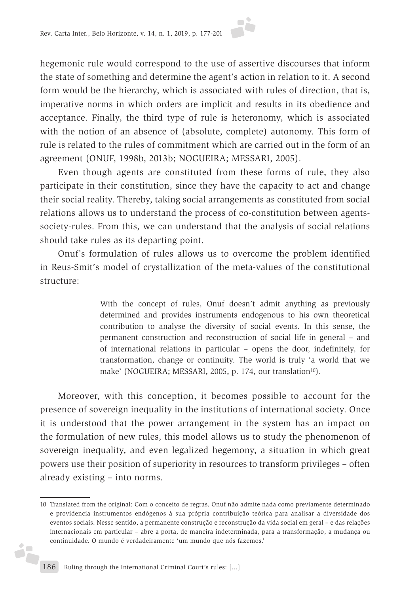hegemonic rule would correspond to the use of assertive discourses that inform the state of something and determine the agent's action in relation to it. A second form would be the hierarchy, which is associated with rules of direction, that is, imperative norms in which orders are implicit and results in its obedience and acceptance. Finally, the third type of rule is heteronomy, which is associated with the notion of an absence of (absolute, complete) autonomy. This form of rule is related to the rules of commitment which are carried out in the form of an agreement (ONUF, 1998b, 2013b; NOGUEIRA; MESSARI, 2005).

Even though agents are constituted from these forms of rule, they also participate in their constitution, since they have the capacity to act and change their social reality. Thereby, taking social arrangements as constituted from social relations allows us to understand the process of co-constitution between agentssociety-rules. From this, we can understand that the analysis of social relations should take rules as its departing point.

Onuf's formulation of rules allows us to overcome the problem identified in Reus-Smit's model of crystallization of the meta-values of the constitutional structure:

> With the concept of rules, Onuf doesn't admit anything as previously determined and provides instruments endogenous to his own theoretical contribution to analyse the diversity of social events. In this sense, the permanent construction and reconstruction of social life in general – and of international relations in particular – opens the door, indefinitely, for transformation, change or continuity. The world is truly 'a world that we make' (NOGUEIRA; MESSARI, 2005, p. 174, our translation<sup>10</sup>).

Moreover, with this conception, it becomes possible to account for the presence of sovereign inequality in the institutions of international society. Once it is understood that the power arrangement in the system has an impact on the formulation of new rules, this model allows us to study the phenomenon of sovereign inequality, and even legalized hegemony, a situation in which great powers use their position of superiority in resources to transform privileges – often already existing – into norms.

j.

<sup>10</sup> Translated from the original: Com o conceito de regras, Onuf não admite nada como previamente determinado e providencia instrumentos endógenos à sua própria contribuição teórica para analisar a diversidade dos eventos sociais. Nesse sentido, a permanente construção e reconstrução da vida social em geral – e das relações internacionais em particular – abre a porta, de maneira indeterminada, para a transformação, a mudança ou continuidade. O mundo é verdadeiramente 'um mundo que nós fazemos.'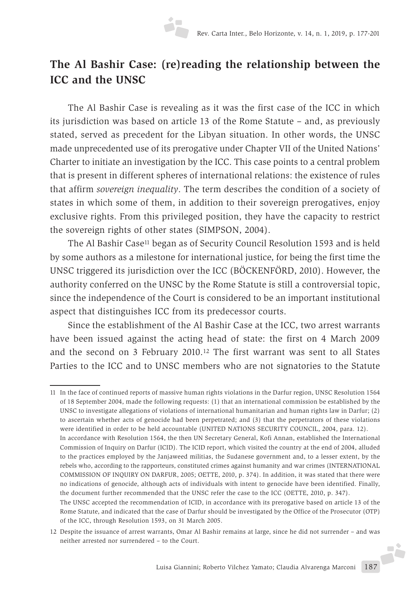# **The Al Bashir Case: (re)reading the relationship between the ICC and the UNSC**

The Al Bashir Case is revealing as it was the first case of the ICC in which its jurisdiction was based on article 13 of the Rome Statute – and, as previously stated, served as precedent for the Libyan situation. In other words, the UNSC made unprecedented use of its prerogative under Chapter VII of the United Nations' Charter to initiate an investigation by the ICC. This case points to a central problem that is present in different spheres of international relations: the existence of rules that affirm *sovereign inequality*. The term describes the condition of a society of states in which some of them, in addition to their sovereign prerogatives, enjoy exclusive rights. From this privileged position, they have the capacity to restrict the sovereign rights of other states (SIMPSON, 2004).

The Al Bashir Case<sup>11</sup> began as of Security Council Resolution 1593 and is held by some authors as a milestone for international justice, for being the first time the UNSC triggered its jurisdiction over the ICC (BÖCKENFÖRD, 2010). However, the authority conferred on the UNSC by the Rome Statute is still a controversial topic, since the independence of the Court is considered to be an important institutional aspect that distinguishes ICC from its predecessor courts.

Since the establishment of the Al Bashir Case at the ICC, two arrest warrants have been issued against the acting head of state: the first on 4 March 2009 and the second on 3 February 2010.12 The first warrant was sent to all States Parties to the ICC and to UNSC members who are not signatories to the Statute

11 In the face of continued reports of massive human rights violations in the Darfur region, UNSC Resolution 1564 of 18 September 2004, made the following requests: (1) that an international commission be established by the UNSC to investigate allegations of violations of international humanitarian and human rights law in Darfur; (2) to ascertain whether acts of genocide had been perpetrated; and (3) that the perpetrators of these violations were identified in order to be held accountable (UNITED NATIONS SECURITY COUNCIL, 2004, para. 12). In accordance with Resolution 1564, the then UN Secretary General, Kofi Annan, established the International

Commission of Inquiry on Darfur (ICID). The ICID report, which visited the country at the end of 2004, alluded to the practices employed by the Janjaweed militias, the Sudanese government and, to a lesser extent, by the rebels who, according to the rapporteurs, constituted crimes against humanity and war crimes (INTERNATIONAL COMMISSION OF INQUIRY ON DARFUR, 2005; OETTE, 2010, p. 374). In addition, it was stated that there were no indications of genocide, although acts of individuals with intent to genocide have been identified. Finally, the document further recommended that the UNSC refer the case to the ICC (OETTE, 2010, p. 347).

The UNSC accepted the recommendation of ICID, in accordance with its prerogative based on article 13 of the Rome Statute, and indicated that the case of Darfur should be investigated by the Office of the Prosecutor (OTP) of the ICC, through Resolution 1593, on 31 March 2005.

<sup>12</sup> Despite the issuance of arrest warrants, Omar Al Bashir remains at large, since he did not surrender – and was neither arrested nor surrendered – to the Court.J.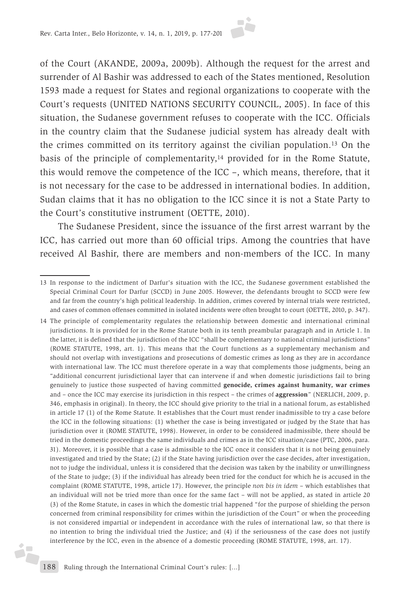

The Sudanese President, since the issuance of the first arrest warrant by the ICC, has carried out more than 60 official trips. Among the countries that have received Al Bashir, there are members and non-members of the ICC. In many

ż

<sup>13</sup> In response to the indictment of Darfur's situation with the ICC, the Sudanese government established the Special Criminal Court for Darfur (SCCD) in June 2005. However, the defendants brought to SCCD were few and far from the country's high political leadership. In addition, crimes covered by internal trials were restricted, and cases of common offenses committed in isolated incidents were often brought to court (OETTE, 2010, p. 347).

<sup>14</sup> The principle of complementarity regulates the relationship between domestic and international criminal jurisdictions. It is provided for in the Rome Statute both in its tenth preambular paragraph and in Article 1. In the latter, it is defined that the jurisdiction of the ICC "shall be complementary to national criminal jurisdictions" (ROME STATUTE, 1998, art. 1). This means that the Court functions as a supplementary mechanism and should not overlap with investigations and prosecutions of domestic crimes as long as they are in accordance with international law. The ICC must therefore operate in a way that complements those judgments, being an "additional concurrent jurisdictional layer that can intervene if and when domestic jurisdictions fail to bring genuinely to justice those suspected of having committed **genocide, crimes against humanity, war crimes** and – once the ICC may exercise its jurisdiction in this respect – the crimes of **aggression**" (NERLICH, 2009, p. 346, emphasis in original). In theory, the ICC should give priority to the trial in a national forum, as established in article 17 (1) of the Rome Statute. It establishes that the Court must render inadmissible to try a case before the ICC in the following situations: (1) whether the case is being investigated or judged by the State that has jurisdiction over it (ROME STATUTE, 1998). However, in order to be considered inadmissible, there should be tried in the domestic proceedings the same individuals and crimes as in the ICC situation/case (PTC, 2006, para. 31). Moreover, it is possible that a case is admissible to the ICC once it considers that it is not being genuinely investigated and tried by the State; (2) if the State having jurisdiction over the case decides, after investigation, not to judge the individual, unless it is considered that the decision was taken by the inability or unwillingness of the State to judge; (3) if the individual has already been tried for the conduct for which he is accused in the complaint (ROME STATUTE, 1998, article 17). However, the principle *non bis in idem* – which establishes that an individual will not be tried more than once for the same fact – will not be applied, as stated in article 20 (3) of the Rome Statute, in cases in which the domestic trial happened "for the purpose of shielding the person concerned from criminal responsibility for crimes within the jurisdiction of the Court" or when the proceeding is not considered impartial or independent in accordance with the rules of international law, so that there is no intention to bring the individual tried the Justice; and (4) if the seriousness of the case does not justify interference by the ICC, even in the absence of a domestic proceeding (ROME STATUTE, 1998, art. 17).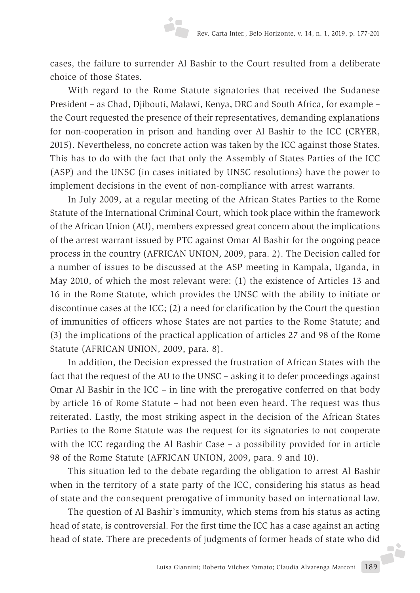cases, the failure to surrender Al Bashir to the Court resulted from a deliberate choice of those States.

With regard to the Rome Statute signatories that received the Sudanese President – as Chad, Djibouti, Malawi, Kenya, DRC and South Africa, for example – the Court requested the presence of their representatives, demanding explanations for non-cooperation in prison and handing over Al Bashir to the ICC (CRYER, 2015). Nevertheless, no concrete action was taken by the ICC against those States. This has to do with the fact that only the Assembly of States Parties of the ICC (ASP) and the UNSC (in cases initiated by UNSC resolutions) have the power to implement decisions in the event of non-compliance with arrest warrants.

In July 2009, at a regular meeting of the African States Parties to the Rome Statute of the International Criminal Court, which took place within the framework of the African Union (AU), members expressed great concern about the implications of the arrest warrant issued by PTC against Omar Al Bashir for the ongoing peace process in the country (AFRICAN UNION, 2009, para. 2). The Decision called for a number of issues to be discussed at the ASP meeting in Kampala, Uganda, in May 2010, of which the most relevant were: (1) the existence of Articles 13 and 16 in the Rome Statute, which provides the UNSC with the ability to initiate or discontinue cases at the ICC; (2) a need for clarification by the Court the question of immunities of officers whose States are not parties to the Rome Statute; and (3) the implications of the practical application of articles 27 and 98 of the Rome Statute (AFRICAN UNION, 2009, para. 8).

In addition, the Decision expressed the frustration of African States with the fact that the request of the AU to the UNSC – asking it to defer proceedings against Omar Al Bashir in the ICC – in line with the prerogative conferred on that body by article 16 of Rome Statute – had not been even heard. The request was thus reiterated. Lastly, the most striking aspect in the decision of the African States Parties to the Rome Statute was the request for its signatories to not cooperate with the ICC regarding the Al Bashir Case – a possibility provided for in article 98 of the Rome Statute (AFRICAN UNION, 2009, para. 9 and 10).

This situation led to the debate regarding the obligation to arrest Al Bashir when in the territory of a state party of the ICC, considering his status as head of state and the consequent prerogative of immunity based on international law.

The question of Al Bashir's immunity, which stems from his status as acting head of state, is controversial. For the first time the ICC has a case against an acting head of state. There are precedents of judgments of former heads of state who did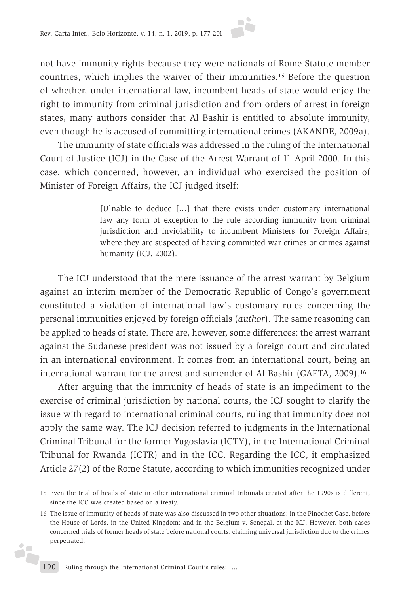not have immunity rights because they were nationals of Rome Statute member countries, which implies the waiver of their immunities.15 Before the question of whether, under international law, incumbent heads of state would enjoy the right to immunity from criminal jurisdiction and from orders of arrest in foreign states, many authors consider that Al Bashir is entitled to absolute immunity, even though he is accused of committing international crimes (AKANDE, 2009a).

The immunity of state officials was addressed in the ruling of the International Court of Justice (ICJ) in the Case of the Arrest Warrant of 11 April 2000. In this case, which concerned, however, an individual who exercised the position of Minister of Foreign Affairs, the ICJ judged itself:

> [U]nable to deduce […] that there exists under customary international law any form of exception to the rule according immunity from criminal jurisdiction and inviolability to incumbent Ministers for Foreign Affairs, where they are suspected of having committed war crimes or crimes against humanity (ICJ, 2002).

The ICJ understood that the mere issuance of the arrest warrant by Belgium against an interim member of the Democratic Republic of Congo's government constituted a violation of international law's customary rules concerning the personal immunities enjoyed by foreign officials (*author*). The same reasoning can be applied to heads of state. There are, however, some differences: the arrest warrant against the Sudanese president was not issued by a foreign court and circulated in an international environment. It comes from an international court, being an international warrant for the arrest and surrender of Al Bashir (GAETA, 2009).16

After arguing that the immunity of heads of state is an impediment to the exercise of criminal jurisdiction by national courts, the ICJ sought to clarify the issue with regard to international criminal courts, ruling that immunity does not apply the same way. The ICJ decision referred to judgments in the International Criminal Tribunal for the former Yugoslavia (ICTY), in the International Criminal Tribunal for Rwanda (ICTR) and in the ICC. Regarding the ICC, it emphasized Article 27(2) of the Rome Statute, according to which immunities recognized under

j.

<sup>15</sup> Even the trial of heads of state in other international criminal tribunals created after the 1990s is different, since the ICC was created based on a treaty.

<sup>16</sup> The issue of immunity of heads of state was also discussed in two other situations: in the Pinochet Case, before the House of Lords, in the United Kingdom; and in the Belgium v. Senegal, at the ICJ. However, both cases concerned trials of former heads of state before national courts, claiming universal jurisdiction due to the crimes perpetrated.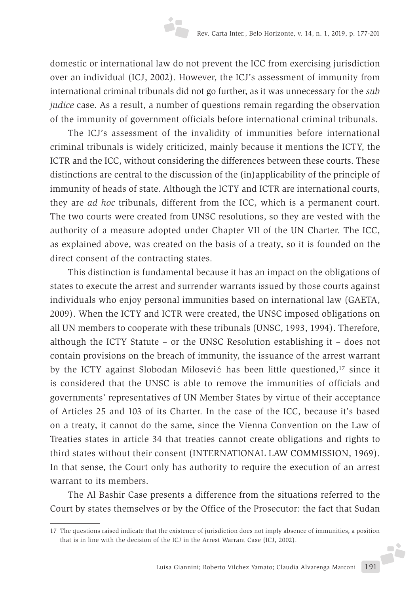domestic or international law do not prevent the ICC from exercising jurisdiction over an individual (ICJ, 2002). However, the ICJ's assessment of immunity from international criminal tribunals did not go further, as it was unnecessary for the *sub judice* case. As a result, a number of questions remain regarding the observation of the immunity of government officials before international criminal tribunals.

The ICJ's assessment of the invalidity of immunities before international criminal tribunals is widely criticized, mainly because it mentions the ICTY, the ICTR and the ICC, without considering the differences between these courts. These distinctions are central to the discussion of the (in)applicability of the principle of immunity of heads of state. Although the ICTY and ICTR are international courts, they are *ad hoc* tribunals, different from the ICC, which is a permanent court. The two courts were created from UNSC resolutions, so they are vested with the authority of a measure adopted under Chapter VII of the UN Charter. The ICC, as explained above, was created on the basis of a treaty, so it is founded on the direct consent of the contracting states.

This distinction is fundamental because it has an impact on the obligations of states to execute the arrest and surrender warrants issued by those courts against individuals who enjoy personal immunities based on international law (GAETA, 2009). When the ICTY and ICTR were created, the UNSC imposed obligations on all UN members to cooperate with these tribunals (UNSC, 1993, 1994). Therefore, although the ICTY Statute – or the UNSC Resolution establishing it – does not contain provisions on the breach of immunity, the issuance of the arrest warrant by the ICTY against Slobodan Milosević has been little questioned,17 since it is considered that the UNSC is able to remove the immunities of officials and governments' representatives of UN Member States by virtue of their acceptance of Articles 25 and 103 of its Charter. In the case of the ICC, because it's based on a treaty, it cannot do the same, since the Vienna Convention on the Law of Treaties states in article 34 that treaties cannot create obligations and rights to third states without their consent (INTERNATIONAL LAW COMMISSION, 1969). In that sense, the Court only has authority to require the execution of an arrest warrant to its members.

The Al Bashir Case presents a difference from the situations referred to the Court by states themselves or by the Office of the Prosecutor: the fact that Sudan

<sup>17</sup> The questions raised indicate that the existence of jurisdiction does not imply absence of immunities, a position that is in line with the decision of the ICJ in the Arrest Warrant Case (ICJ, 2002).Ji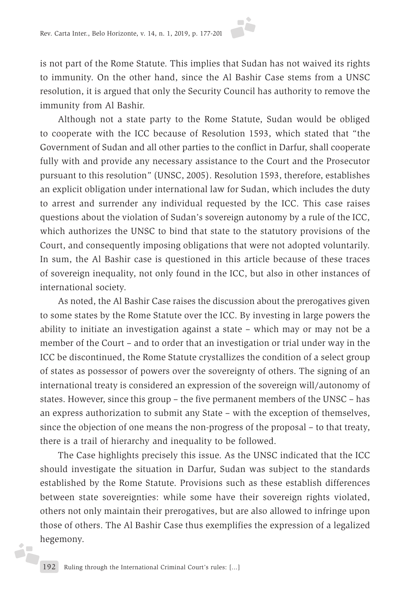is not part of the Rome Statute. This implies that Sudan has not waived its rights to immunity. On the other hand, since the Al Bashir Case stems from a UNSC resolution, it is argued that only the Security Council has authority to remove the immunity from Al Bashir.

Although not a state party to the Rome Statute, Sudan would be obliged to cooperate with the ICC because of Resolution 1593, which stated that "the Government of Sudan and all other parties to the conflict in Darfur, shall cooperate fully with and provide any necessary assistance to the Court and the Prosecutor pursuant to this resolution" (UNSC, 2005). Resolution 1593, therefore, establishes an explicit obligation under international law for Sudan, which includes the duty to arrest and surrender any individual requested by the ICC. This case raises questions about the violation of Sudan's sovereign autonomy by a rule of the ICC, which authorizes the UNSC to bind that state to the statutory provisions of the Court, and consequently imposing obligations that were not adopted voluntarily. In sum, the Al Bashir case is questioned in this article because of these traces of sovereign inequality, not only found in the ICC, but also in other instances of international society.

As noted, the Al Bashir Case raises the discussion about the prerogatives given to some states by the Rome Statute over the ICC. By investing in large powers the ability to initiate an investigation against a state – which may or may not be a member of the Court – and to order that an investigation or trial under way in the ICC be discontinued, the Rome Statute crystallizes the condition of a select group of states as possessor of powers over the sovereignty of others. The signing of an international treaty is considered an expression of the sovereign will/autonomy of states. However, since this group – the five permanent members of the UNSC – has an express authorization to submit any State – with the exception of themselves, since the objection of one means the non-progress of the proposal – to that treaty, there is a trail of hierarchy and inequality to be followed.

The Case highlights precisely this issue. As the UNSC indicated that the ICC should investigate the situation in Darfur, Sudan was subject to the standards established by the Rome Statute. Provisions such as these establish differences between state sovereignties: while some have their sovereign rights violated, others not only maintain their prerogatives, but are also allowed to infringe upon those of others. The Al Bashir Case thus exemplifies the expression of a legalized hegemony.

i,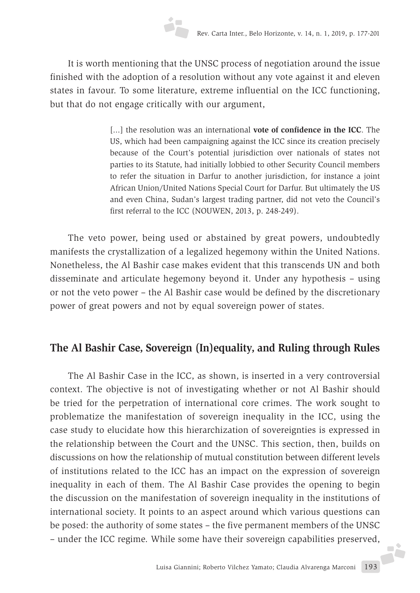It is worth mentioning that the UNSC process of negotiation around the issue finished with the adoption of a resolution without any vote against it and eleven states in favour. To some literature, extreme influential on the ICC functioning, but that do not engage critically with our argument,

> [...] the resolution was an international **vote of confidence in the ICC**. The US, which had been campaigning against the ICC since its creation precisely because of the Court's potential jurisdiction over nationals of states not parties to its Statute, had initially lobbied to other Security Council members to refer the situation in Darfur to another jurisdiction, for instance a joint African Union/United Nations Special Court for Darfur. But ultimately the US and even China, Sudan's largest trading partner, did not veto the Council's first referral to the ICC (NOUWEN, 2013, p. 248-249).

The veto power, being used or abstained by great powers, undoubtedly manifests the crystallization of a legalized hegemony within the United Nations. Nonetheless, the Al Bashir case makes evident that this transcends UN and both disseminate and articulate hegemony beyond it. Under any hypothesis – using or not the veto power – the Al Bashir case would be defined by the discretionary power of great powers and not by equal sovereign power of states.

## **The Al Bashir Case, Sovereign (In)equality, and Ruling through Rules**

The Al Bashir Case in the ICC, as shown, is inserted in a very controversial context. The objective is not of investigating whether or not Al Bashir should be tried for the perpetration of international core crimes. The work sought to problematize the manifestation of sovereign inequality in the ICC, using the case study to elucidate how this hierarchization of sovereignties is expressed in the relationship between the Court and the UNSC. This section, then, builds on discussions on how the relationship of mutual constitution between different levels of institutions related to the ICC has an impact on the expression of sovereign inequality in each of them. The Al Bashir Case provides the opening to begin the discussion on the manifestation of sovereign inequality in the institutions of international society. It points to an aspect around which various questions can be posed: the authority of some states – the five permanent members of the UNSC – under the ICC regime. While some have their sovereign capabilities preserved,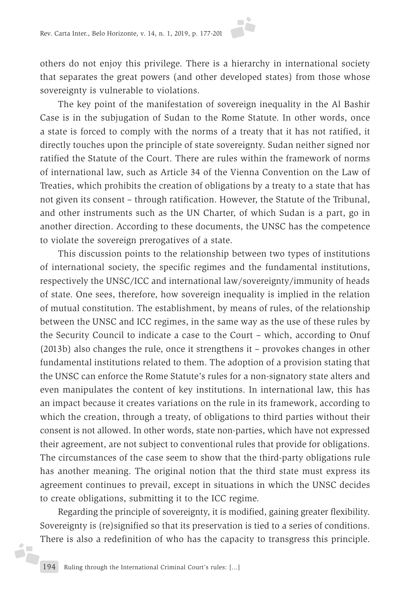others do not enjoy this privilege. There is a hierarchy in international society that separates the great powers (and other developed states) from those whose sovereignty is vulnerable to violations.

The key point of the manifestation of sovereign inequality in the Al Bashir Case is in the subjugation of Sudan to the Rome Statute. In other words, once a state is forced to comply with the norms of a treaty that it has not ratified, it directly touches upon the principle of state sovereignty. Sudan neither signed nor ratified the Statute of the Court. There are rules within the framework of norms of international law, such as Article 34 of the Vienna Convention on the Law of Treaties, which prohibits the creation of obligations by a treaty to a state that has not given its consent – through ratification. However, the Statute of the Tribunal, and other instruments such as the UN Charter, of which Sudan is a part, go in another direction. According to these documents, the UNSC has the competence to violate the sovereign prerogatives of a state.

This discussion points to the relationship between two types of institutions of international society, the specific regimes and the fundamental institutions, respectively the UNSC/ICC and international law/sovereignty/immunity of heads of state. One sees, therefore, how sovereign inequality is implied in the relation of mutual constitution. The establishment, by means of rules, of the relationship between the UNSC and ICC regimes, in the same way as the use of these rules by the Security Council to indicate a case to the Court – which, according to Onuf (2013b) also changes the rule, once it strengthens it – provokes changes in other fundamental institutions related to them. The adoption of a provision stating that the UNSC can enforce the Rome Statute's rules for a non-signatory state alters and even manipulates the content of key institutions. In international law, this has an impact because it creates variations on the rule in its framework, according to which the creation, through a treaty, of obligations to third parties without their consent is not allowed. In other words, state non-parties, which have not expressed their agreement, are not subject to conventional rules that provide for obligations. The circumstances of the case seem to show that the third-party obligations rule has another meaning. The original notion that the third state must express its agreement continues to prevail, except in situations in which the UNSC decides to create obligations, submitting it to the ICC regime.

Regarding the principle of sovereignty, it is modified, gaining greater flexibility. Sovereignty is (re)signified so that its preservation is tied to a series of conditions. There is also a redefinition of who has the capacity to transgress this principle.

d.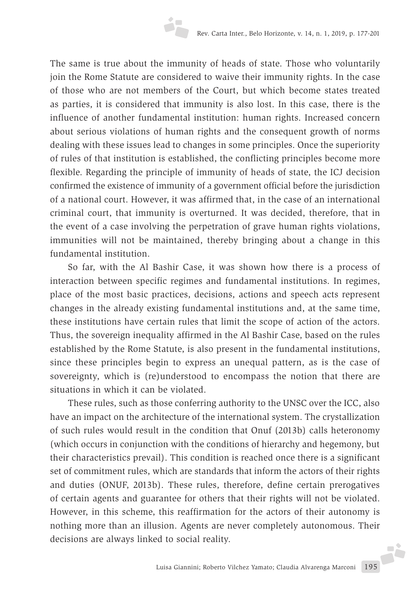The same is true about the immunity of heads of state. Those who voluntarily join the Rome Statute are considered to waive their immunity rights. In the case of those who are not members of the Court, but which become states treated as parties, it is considered that immunity is also lost. In this case, there is the influence of another fundamental institution: human rights. Increased concern about serious violations of human rights and the consequent growth of norms dealing with these issues lead to changes in some principles. Once the superiority of rules of that institution is established, the conflicting principles become more flexible. Regarding the principle of immunity of heads of state, the ICJ decision confirmed the existence of immunity of a government official before the jurisdiction of a national court. However, it was affirmed that, in the case of an international criminal court, that immunity is overturned. It was decided, therefore, that in the event of a case involving the perpetration of grave human rights violations, immunities will not be maintained, thereby bringing about a change in this fundamental institution.

So far, with the Al Bashir Case, it was shown how there is a process of interaction between specific regimes and fundamental institutions. In regimes, place of the most basic practices, decisions, actions and speech acts represent changes in the already existing fundamental institutions and, at the same time, these institutions have certain rules that limit the scope of action of the actors. Thus, the sovereign inequality affirmed in the Al Bashir Case, based on the rules established by the Rome Statute, is also present in the fundamental institutions, since these principles begin to express an unequal pattern, as is the case of sovereignty, which is (re)understood to encompass the notion that there are situations in which it can be violated.

These rules, such as those conferring authority to the UNSC over the ICC, also have an impact on the architecture of the international system. The crystallization of such rules would result in the condition that Onuf (2013b) calls heteronomy (which occurs in conjunction with the conditions of hierarchy and hegemony, but their characteristics prevail). This condition is reached once there is a significant set of commitment rules, which are standards that inform the actors of their rights and duties (ONUF, 2013b). These rules, therefore, define certain prerogatives of certain agents and guarantee for others that their rights will not be violated. However, in this scheme, this reaffirmation for the actors of their autonomy is nothing more than an illusion. Agents are never completely autonomous. Their decisions are always linked to social reality.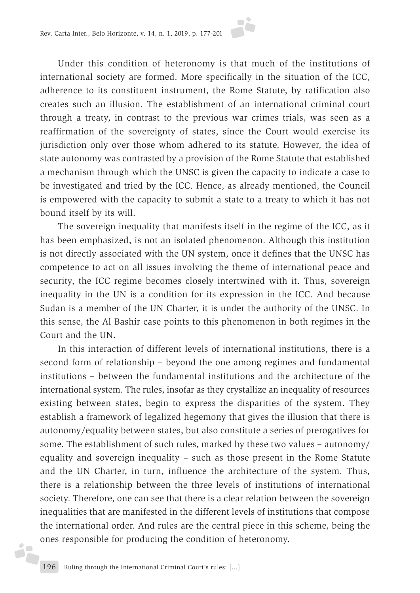Under this condition of heteronomy is that much of the institutions of international society are formed. More specifically in the situation of the ICC, adherence to its constituent instrument, the Rome Statute, by ratification also creates such an illusion. The establishment of an international criminal court through a treaty, in contrast to the previous war crimes trials, was seen as a reaffirmation of the sovereignty of states, since the Court would exercise its jurisdiction only over those whom adhered to its statute. However, the idea of state autonomy was contrasted by a provision of the Rome Statute that established a mechanism through which the UNSC is given the capacity to indicate a case to be investigated and tried by the ICC. Hence, as already mentioned, the Council is empowered with the capacity to submit a state to a treaty to which it has not bound itself by its will.

The sovereign inequality that manifests itself in the regime of the ICC, as it has been emphasized, is not an isolated phenomenon. Although this institution is not directly associated with the UN system, once it defines that the UNSC has competence to act on all issues involving the theme of international peace and security, the ICC regime becomes closely intertwined with it. Thus, sovereign inequality in the UN is a condition for its expression in the ICC. And because Sudan is a member of the UN Charter, it is under the authority of the UNSC. In this sense, the Al Bashir case points to this phenomenon in both regimes in the Court and the UN.

In this interaction of different levels of international institutions, there is a second form of relationship – beyond the one among regimes and fundamental institutions – between the fundamental institutions and the architecture of the international system. The rules, insofar as they crystallize an inequality of resources existing between states, begin to express the disparities of the system. They establish a framework of legalized hegemony that gives the illusion that there is autonomy/equality between states, but also constitute a series of prerogatives for some. The establishment of such rules, marked by these two values – autonomy/ equality and sovereign inequality – such as those present in the Rome Statute and the UN Charter, in turn, influence the architecture of the system. Thus, there is a relationship between the three levels of institutions of international society. Therefore, one can see that there is a clear relation between the sovereign inequalities that are manifested in the different levels of institutions that compose the international order. And rules are the central piece in this scheme, being the ones responsible for producing the condition of heteronomy.

d.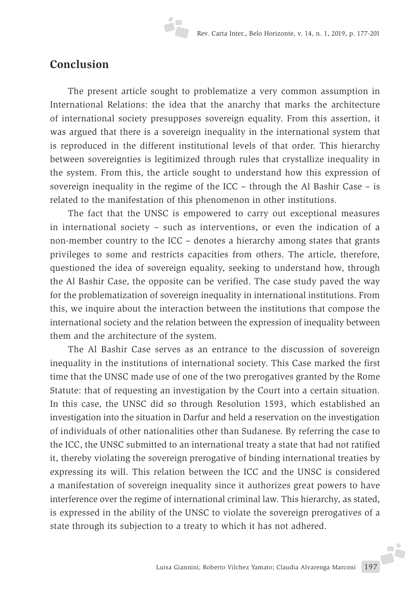#### **Conclusion**

The present article sought to problematize a very common assumption in International Relations: the idea that the anarchy that marks the architecture of international society presupposes sovereign equality. From this assertion, it was argued that there is a sovereign inequality in the international system that is reproduced in the different institutional levels of that order. This hierarchy between sovereignties is legitimized through rules that crystallize inequality in the system. From this, the article sought to understand how this expression of sovereign inequality in the regime of the ICC – through the Al Bashir Case – is related to the manifestation of this phenomenon in other institutions.

The fact that the UNSC is empowered to carry out exceptional measures in international society – such as interventions, or even the indication of a non-member country to the ICC – denotes a hierarchy among states that grants privileges to some and restricts capacities from others. The article, therefore, questioned the idea of sovereign equality, seeking to understand how, through the Al Bashir Case, the opposite can be verified. The case study paved the way for the problematization of sovereign inequality in international institutions. From this, we inquire about the interaction between the institutions that compose the international society and the relation between the expression of inequality between them and the architecture of the system.

The Al Bashir Case serves as an entrance to the discussion of sovereign inequality in the institutions of international society. This Case marked the first time that the UNSC made use of one of the two prerogatives granted by the Rome Statute: that of requesting an investigation by the Court into a certain situation. In this case, the UNSC did so through Resolution 1593, which established an investigation into the situation in Darfur and held a reservation on the investigation of individuals of other nationalities other than Sudanese. By referring the case to the ICC, the UNSC submitted to an international treaty a state that had not ratified it, thereby violating the sovereign prerogative of binding international treaties by expressing its will. This relation between the ICC and the UNSC is considered a manifestation of sovereign inequality since it authorizes great powers to have interference over the regime of international criminal law. This hierarchy, as stated, is expressed in the ability of the UNSC to violate the sovereign prerogatives of a state through its subjection to a treaty to which it has not adhered.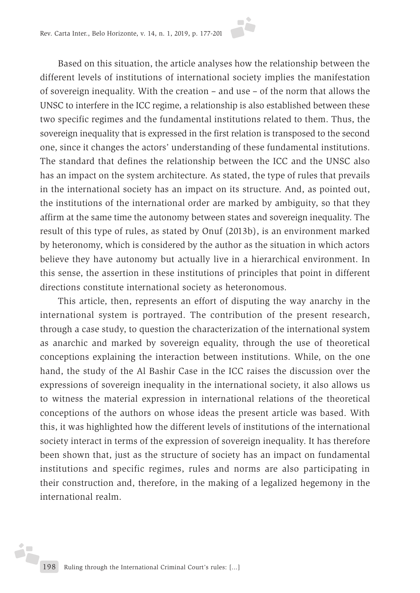Based on this situation, the article analyses how the relationship between the different levels of institutions of international society implies the manifestation of sovereign inequality. With the creation – and use – of the norm that allows the UNSC to interfere in the ICC regime, a relationship is also established between these two specific regimes and the fundamental institutions related to them. Thus, the sovereign inequality that is expressed in the first relation is transposed to the second one, since it changes the actors' understanding of these fundamental institutions. The standard that defines the relationship between the ICC and the UNSC also has an impact on the system architecture. As stated, the type of rules that prevails in the international society has an impact on its structure. And, as pointed out, the institutions of the international order are marked by ambiguity, so that they affirm at the same time the autonomy between states and sovereign inequality. The result of this type of rules, as stated by Onuf (2013b), is an environment marked by heteronomy, which is considered by the author as the situation in which actors believe they have autonomy but actually live in a hierarchical environment. In this sense, the assertion in these institutions of principles that point in different directions constitute international society as heteronomous.

This article, then, represents an effort of disputing the way anarchy in the international system is portrayed. The contribution of the present research, through a case study, to question the characterization of the international system as anarchic and marked by sovereign equality, through the use of theoretical conceptions explaining the interaction between institutions. While, on the one hand, the study of the Al Bashir Case in the ICC raises the discussion over the expressions of sovereign inequality in the international society, it also allows us to witness the material expression in international relations of the theoretical conceptions of the authors on whose ideas the present article was based. With this, it was highlighted how the different levels of institutions of the international society interact in terms of the expression of sovereign inequality. It has therefore been shown that, just as the structure of society has an impact on fundamental institutions and specific regimes, rules and norms are also participating in their construction and, therefore, in the making of a legalized hegemony in the international realm.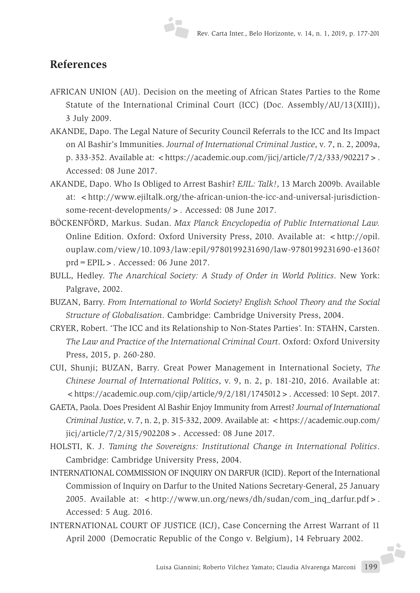#### **References**

- AFRICAN UNION (AU). Decision on the meeting of African States Parties to the Rome Statute of the International Criminal Court (ICC) (Doc. Assembly/AU/13(XIII)), 3 July 2009.
- AKANDE, Dapo. The Legal Nature of Security Council Referrals to the ICC and Its Impact on Al Bashir's Immunities. *Journal of International Criminal Justice*, v. 7, n. 2, 2009a, p. 333-352. Available at:  $\langle$  https://academic.oup.com/jicj/article/7/2/333/902217>. Accessed: 08 June 2017.
- AKANDE, Dapo. Who Is Obliged to Arrest Bashir? *EJIL: Talk!*, 13 March 2009b. Available at: <http://www.ejiltalk.org/the-african-union-the-icc-and-universal-jurisdictionsome-recent-developments/>. Accessed: 08 June 2017.
- BÖCKENFÖRD, Markus. Sudan. *Max Planck Encyclopedia of Public International Law.* Online Edition. Oxford: Oxford University Press, 2010. Available at: < http://opil. ouplaw.com/view/10.1093/law:epil/9780199231690/law-9780199231690-e1360? prd=EPIL>. Accessed: 06 June 2017.
- BULL, Hedley. *The Anarchical Society: A Study of Order in World Politics*. New York: Palgrave, 2002.
- BUZAN, Barry. *From International to World Society? English School Theory and the Social Structure of Globalisation*. Cambridge: Cambridge University Press, 2004.
- CRYER, Robert. 'The ICC and its Relationship to Non-States Parties'. In: STAHN, Carsten. *The Law and Practice of the International Criminal Court*. Oxford: Oxford University Press, 2015, p. 260-280.
- CUI, Shunji; BUZAN, Barry. Great Power Management in International Society, *The Chinese Journal of International Politics*, v. 9, n. 2, p. 181-210, 2016. Available at:  $\langle$ https://academic.oup.com/cjip/article/9/2/181/1745012 > . Accessed: 10 Sept. 2017.
- GAETA, Paola. Does President Al Bashir Enjoy Immunity from Arrest? *Journal of International Criminal Justice*, v. 7, n. 2, p. 315-332, 2009. Available at: <https://academic.oup.com/ jicj/article/7/2/315/902208>. Accessed: 08 June 2017.
- HOLSTI, K. J. *Taming the Sovereigns: Institutional Change in International Politics*. Cambridge: Cambridge University Press, 2004.
- INTERNATIONAL COMMISSION OF INQUIRY ON DARFUR (ICID). Report of the International Commission of Inquiry on Darfur to the United Nations Secretary-General, 25 January 2005. Available at: <http://www.un.org/news/dh/sudan/com\_inq\_darfur.pdf>. Accessed: 5 Aug. 2016.
- INTERNATIONAL COURT OF JUSTICE (ICJ), Case Concerning the Arrest Warrant of 11 April 2000 (Democratic Republic of the Congo v. Belgium), 14 February 2002.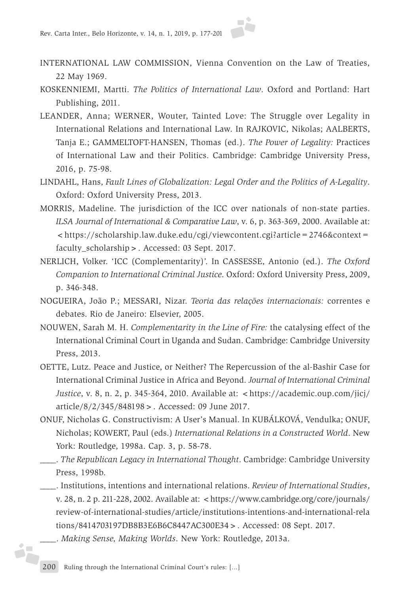- INTERNATIONAL LAW COMMISSION, Vienna Convention on the Law of Treaties, 22 May 1969.
- KOSKENNIEMI, Martti. *The Politics of International Law*. Oxford and Portland: Hart Publishing, 2011.
- LEANDER, Anna; WERNER, Wouter, Tainted Love: The Struggle over Legality in International Relations and International Law. In RAJKOVIC, Nikolas; AALBERTS, Tanja E.; GAMMELTOFT-HANSEN, Thomas (ed.). *The Power of Legality:* Practices of International Law and their Politics. Cambridge: Cambridge University Press, 2016, p. 75-98.
- LINDAHL, Hans, *Fault Lines of Globalization: Legal Order and the Politics of A-Legality*. Oxford: Oxford University Press, 2013.
- MORRIS, Madeline. The jurisdiction of the ICC over nationals of non-state parties. *ILSA Journal of International & Comparative Law*, v. 6, p. 363-369, 2000. Available at: <https://scholarship.law.duke.edu/cgi/viewcontent.cgi?article=2746&context= faculty\_scholarship>. Accessed: 03 Sept. 2017.
- NERLICH, Volker. 'ICC (Complementarity)'. In CASSESSE, Antonio (ed.). *The Oxford Companion to International Criminal Justice*. Oxford: Oxford University Press, 2009, p. 346-348.
- NOGUEIRA, João P.; MESSARI, Nizar. *Teoria das relações internacionais:* correntes e debates. Rio de Janeiro: Elsevier, 2005.
- NOUWEN, Sarah M. H. *Complementarity in the Line of Fire:* the catalysing effect of the International Criminal Court in Uganda and Sudan. Cambridge: Cambridge University Press, 2013.
- OETTE, Lutz. Peace and Justice, or Neither? The Repercussion of the al-Bashir Case for International Criminal Justice in Africa and Beyond. *Journal of International Criminal Justice*, v. 8, n. 2, p. 345-364, 2010. Available at: <https://academic.oup.com/jicj/ article/8/2/345/848198>. Accessed: 09 June 2017.
- ONUF, Nicholas G. Constructivism: A User's Manual. In KUBÁLKOVÁ, Vendulka; ONUF, Nicholas; KOWERT, Paul (eds.) *International Relations in a Constructed World*. New York: Routledge, 1998a. Cap. 3, p. 58-78.
- \_\_\_\_. *The Republican Legacy in International Thought*. Cambridge: Cambridge University Press, 1998b.
- \_\_\_\_. Institutions, intentions and international relations. *Review of International Studies*, v. 28, n. 2 p. 211-228, 2002. Available at: <https://www.cambridge.org/core/journals/ review-of-international-studies/article/institutions-intentions-and-international-rela tions/8414703197DB8B3E6B6C8447AC300E34>. Accessed: 08 Sept. 2017.
- \_\_\_\_. *Making Sense, Making Worlds*. New York: Routledge, 2013a.